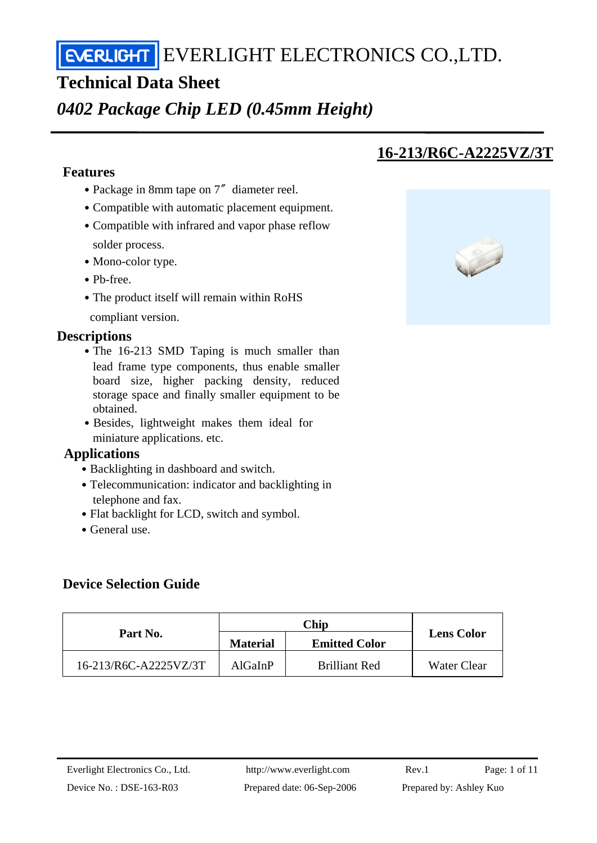EVERLIGHT ELECTRONICS CO., LTD.

# **Technical Data Sheet**

*0402 Package Chip LED (0.45mm Height)* 

## **Features**

- Package in 8mm tape on 7<sup>″</sup> diameter reel.
- ․Compatible with automatic placement equipment.
- Compatible with infrared and vapor phase reflow solder process.
- Mono-color type.
- ․Pb-free.
- The product itself will remain within RoHS compliant version.
- **Descriptions** 
	- The 16-213 SMD Taping is much smaller than lead frame type components, thus enable smaller board size, higher packing density, reduced storage space and finally smaller equipment to be obtained.
	- Besides, lightweight makes them ideal for miniature applications. etc.

#### **Applications**

- Backlighting in dashboard and switch.
- Telecommunication: indicator and backlighting in telephone and fax.
- Flat backlight for LCD, switch and symbol.
- General use.

# **Device Selection Guide**

| Part No.              | <b>Material</b> | <b>Emitted Color</b> | <b>Lens Color</b> |
|-----------------------|-----------------|----------------------|-------------------|
| 16-213/R6C-A2225VZ/3T | AlGaInP         | <b>Brilliant Red</b> | Water Clear       |

# **16-213/R6C-A2225VZ/3T**

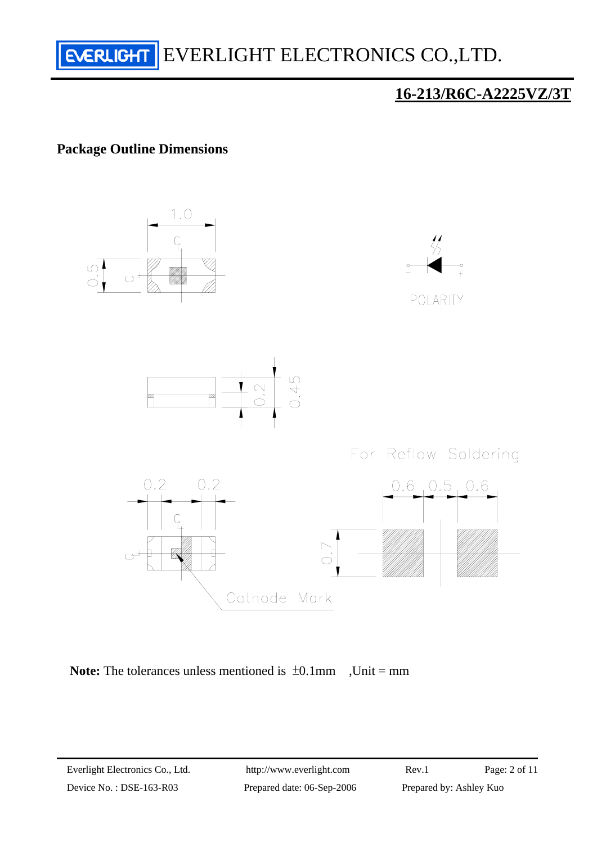

# **Package Outline Dimensions**





Device No.: DSE-163-R03 Prepared date: 06-Sep-2006 Prepared by: Ashley Kuo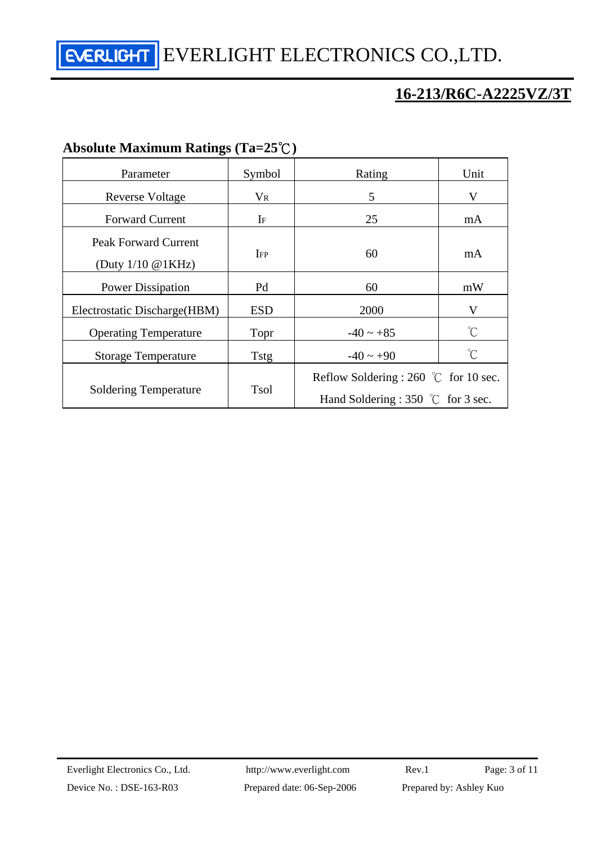EVERLIGHT ELECTRONICS CO., LTD.

# **16-213/R6C-A2225VZ/3T**

| $1100010W$ Maximum Katings (1a–20 $\cup$ )                    |             |                                                                                      |                      |
|---------------------------------------------------------------|-------------|--------------------------------------------------------------------------------------|----------------------|
| Parameter                                                     | Symbol      | Rating                                                                               | Unit                 |
| <b>Reverse Voltage</b>                                        | $V_{R}$     | 5                                                                                    | V                    |
| <b>Forward Current</b>                                        | $\rm I$ F   | 25                                                                                   | mA                   |
| <b>Peak Forward Current</b><br>(Duty $1/10 \text{ @ } 1KHz$ ) | IFP         | 60                                                                                   | mA                   |
| <b>Power Dissipation</b>                                      | Pd          | 60                                                                                   | mW                   |
| Electrostatic Discharge (HBM)                                 | <b>ESD</b>  | 2000                                                                                 | V                    |
| <b>Operating Temperature</b>                                  | Topr        | $-40 \sim +85$                                                                       | $\mathrm{C}^{\circ}$ |
| <b>Storage Temperature</b>                                    | Tstg        | $-40 \sim +90$                                                                       | $\int_0^\infty$      |
| <b>Soldering Temperature</b>                                  | <b>Tsol</b> | Reflow Soldering : 260 $\degree$ C for 10 sec.<br>Hand Soldering : 350 °C for 3 sec. |                      |

### **Absolute Maximum Ratings (Ta=25**℃**)**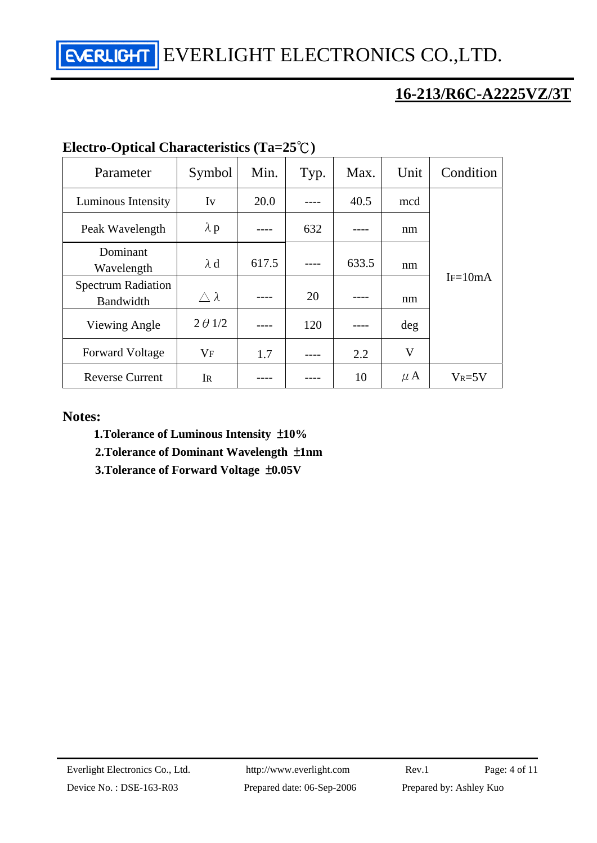EVERLIGHT ELECTRONICS CO.,LTD.

# **16-213/R6C-A2225VZ/3T**

| Parameter                              | Symbol              | Min.  | Typ. | Max.  | Unit    | Condition  |  |
|----------------------------------------|---------------------|-------|------|-------|---------|------------|--|
| Luminous Intensity                     | Iv                  | 20.0  |      | 40.5  | mcd     |            |  |
| Peak Wavelength                        | $\lambda$ p         |       | 632  |       | nm      |            |  |
| Dominant<br>Wavelength                 | $\lambda$ d         | 617.5 |      | 633.5 | nm      |            |  |
| <b>Spectrum Radiation</b><br>Bandwidth | $\triangle \lambda$ |       | 20   |       | nm      | $IF=10mA$  |  |
| Viewing Angle                          | $2 \theta$ 1/2      |       | 120  |       | deg     |            |  |
| <b>Forward Voltage</b>                 | <b>VF</b>           | 1.7   |      | 2.2   | V       |            |  |
| <b>Reverse Current</b>                 | IR                  |       |      | 10    | $\mu$ A | $V_R = 5V$ |  |

#### **Electro-Optical Characteristics (Ta=25**℃**)**

#### **Notes:**

- **1.Tolerance of Luminous Intensity** ±**10%**
- **2.Tolerance of Dominant Wavelength** ±**1nm**
- **3.Tolerance of Forward Voltage** ±**0.05V**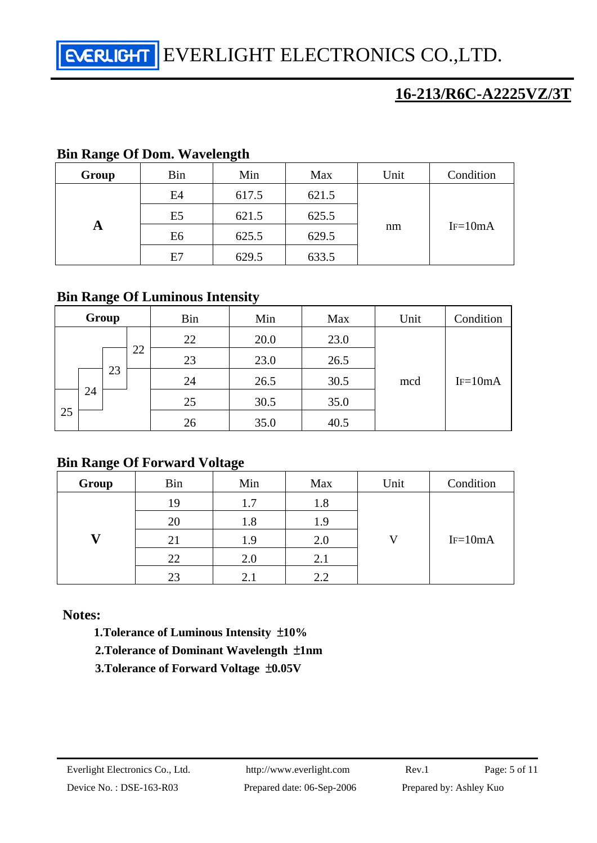| ပ<br>Group | Bin            | ິ<br>Min | Max   | Unit | Condition |
|------------|----------------|----------|-------|------|-----------|
| A          | E4             | 617.5    | 621.5 | nm   | $IF=10mA$ |
|            | E <sub>5</sub> | 621.5    | 625.5 |      |           |
|            | E <sub>6</sub> | 625.5    | 629.5 |      |           |
|            | E7             | 629.5    | 633.5 |      |           |

#### **Bin Range Of Dom. Wavelength**

#### **Bin Range Of Luminous Intensity**

|    |    | Group |    | Bin | Min  | Max  | Unit | Condition |
|----|----|-------|----|-----|------|------|------|-----------|
|    |    |       |    | 22  | 20.0 | 23.0 |      |           |
|    |    |       | 22 | 23  | 23.0 | 26.5 |      |           |
|    |    | 23    |    | 24  | 26.5 | 30.5 | mcd  | $IF=10mA$ |
|    | 24 |       |    | 25  | 30.5 | 35.0 |      |           |
| 25 |    |       |    | 26  | 35.0 | 40.5 |      |           |

#### **Bin Range Of Forward Voltage**

| Group | <b>Bin</b> | Min | Max | Unit | Condition |
|-------|------------|-----|-----|------|-----------|
|       | 19         | 1.7 | 1.8 |      |           |
|       | 20         | 1.8 | 1.9 |      |           |
|       | 21         | 1.9 | 2.0 |      | $IF=10mA$ |
|       | 22         | 2.0 | 2.1 |      |           |
|       | 23         | 2.1 | 2.2 |      |           |

#### **Notes:**

 **1.Tolerance of Luminous Intensity** ±**10%** 

- **2.Tolerance of Dominant Wavelength** ±**1nm**
- **3.Tolerance of Forward Voltage** ±**0.05V**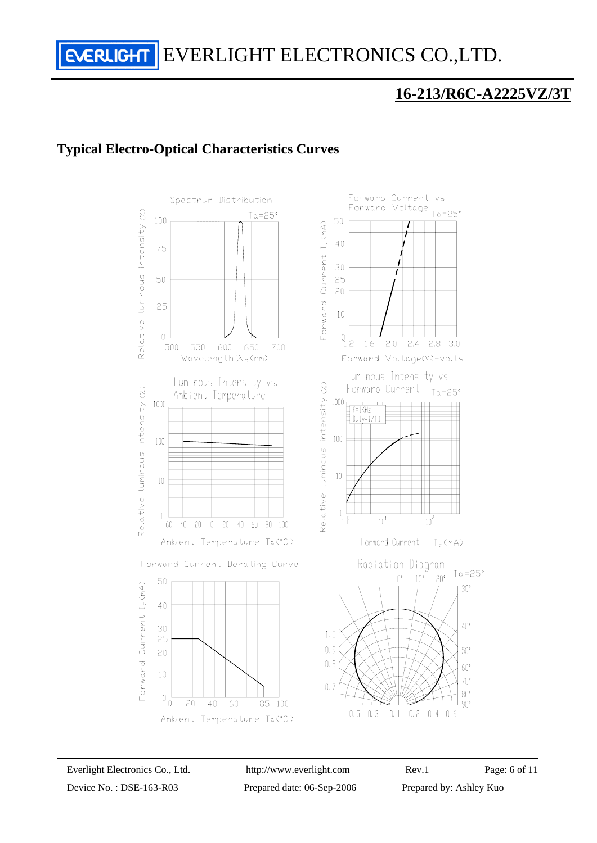# **Typical Electro-Optical Characteristics Curves**

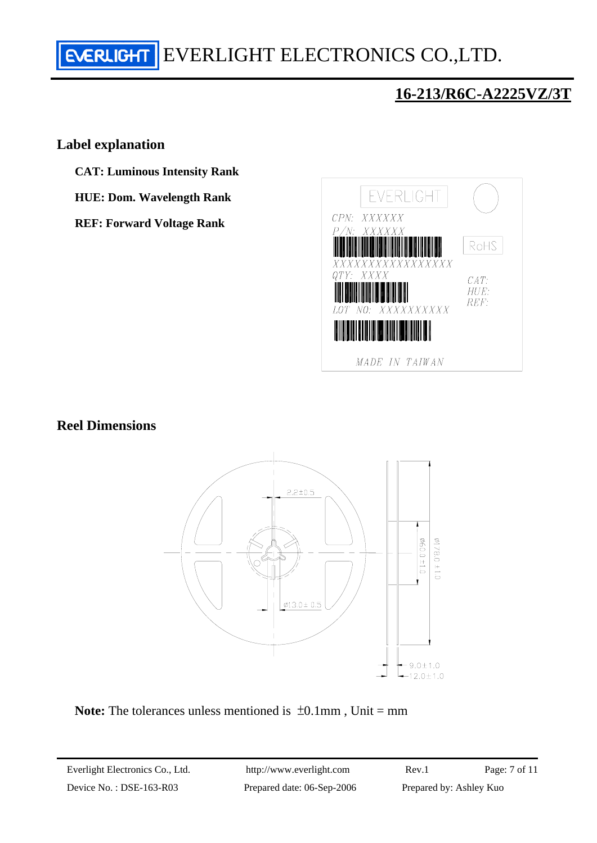# **EVERLIGHT** EVERLIGHT ELECTRONICS CO., LTD.

# **16-213/R6C-A2225VZ/3T**

#### **Label explanation**

- **CAT: Luminous Intensity Rank**
- **HUE: Dom. Wavelength Rank**
- **REF: Forward Voltage Rank**



#### **Reel Dimensions**



**Note:** The tolerances unless mentioned is  $\pm 0.1$  mm, Unit = mm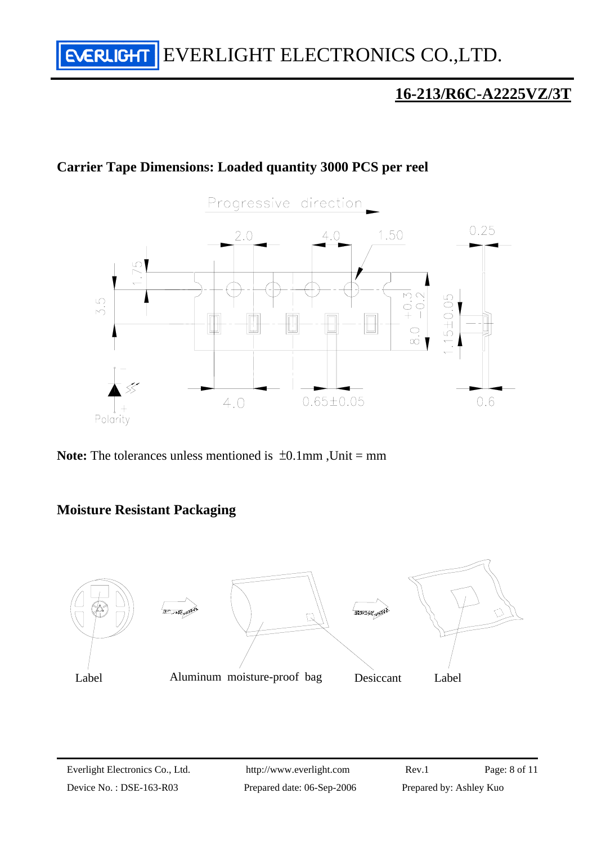# **Carrier Tape Dimensions: Loaded quantity 3000 PCS per reel**



**Note:** The tolerances unless mentioned is  $\pm 0.1$ mm, Unit = mm

# **Moisture Resistant Packaging**

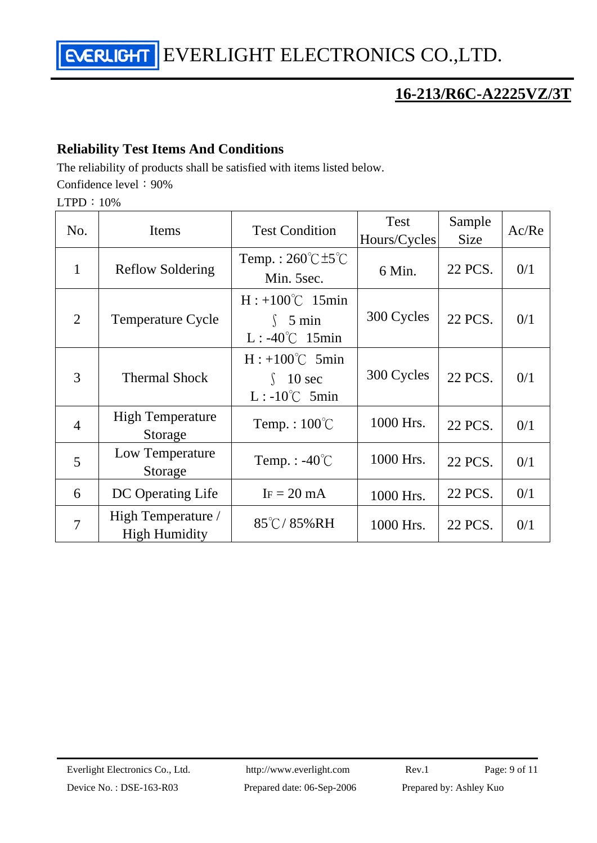EVERLIGHT ELECTRONICS CO.,LTD.

# **16-213/R6C-A2225VZ/3T**

# **Reliability Test Items And Conditions**

The reliability of products shall be satisfied with items listed below. Confidence level: 90%

LTPD:10%

| No.            | Items                                      | <b>Test Condition</b>                                               | Test<br>Hours/Cycles | Sample<br><b>Size</b> | Ac/Re |
|----------------|--------------------------------------------|---------------------------------------------------------------------|----------------------|-----------------------|-------|
| $\mathbf{1}$   | <b>Reflow Soldering</b>                    | Temp.: $260^{\circ}$ C $\pm 5^{\circ}$ C<br>Min. 5sec.              | 6 Min.               | 22 PCS.               | 0/1   |
| $\overline{2}$ | <b>Temperature Cycle</b>                   | $H: +100^{\circ}C$ 15min<br>$\int$ 5 min<br>$L: -40^{\circ}C$ 15min | 300 Cycles           | 22 PCS.               | 0/1   |
| 3              | <b>Thermal Shock</b>                       | $H: +100^{\circ}C$ 5min<br>10 sec<br>$L: -10^{\circ}C$ 5min         | 300 Cycles           | 22 PCS.               | 0/1   |
| $\overline{4}$ | <b>High Temperature</b><br>Storage         | Temp.: $100^{\circ}$ C                                              | 1000 Hrs.            | 22 PCS.               | 0/1   |
| 5              | Low Temperature<br>Storage                 | Temp. : $-40^{\circ}$ C                                             | 1000 Hrs.            | 22 PCS.               | 0/1   |
| 6              | DC Operating Life                          | $IF = 20 mA$                                                        | 1000 Hrs.            | 22 PCS.               | 0/1   |
| $\overline{7}$ | High Temperature /<br><b>High Humidity</b> | 85°C/85%RH                                                          | 1000 Hrs.            | 22 PCS.               | 0/1   |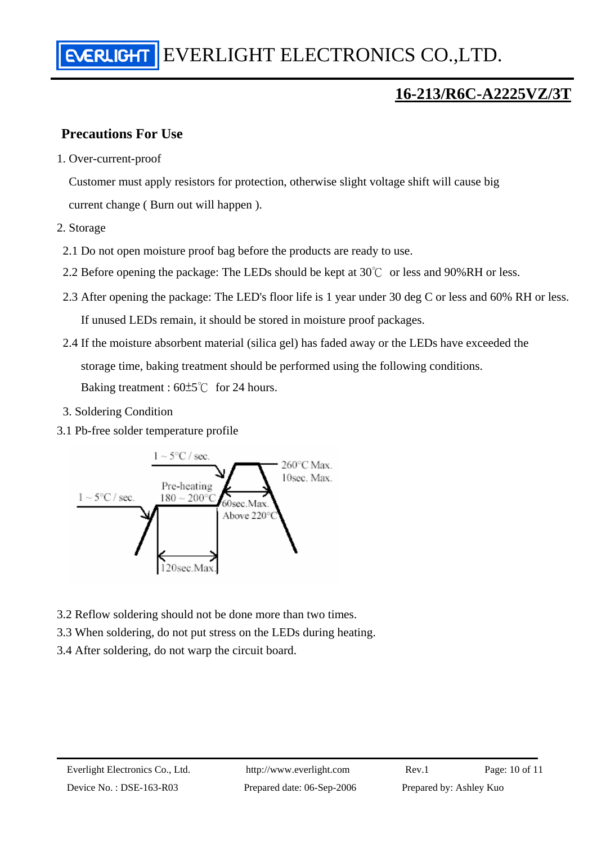# **Precautions For Use**

1. Over-current-proof

Customer must apply resistors for protection, otherwise slight voltage shift will cause big current change ( Burn out will happen ).

- 2. Storage
- 2.1 Do not open moisture proof bag before the products are ready to use.
- 2.2 Before opening the package: The LEDs should be kept at  $30^{\circ}$  or less and 90%RH or less.
- 2.3 After opening the package: The LED's floor life is 1 year under 30 deg C or less and 60% RH or less. If unused LEDs remain, it should be stored in moisture proof packages.
- 2.4 If the moisture absorbent material (silica gel) has faded away or the LEDs have exceeded the storage time, baking treatment should be performed using the following conditions. Baking treatment : 60±5℃ for 24 hours.
- 3. Soldering Condition
- 3.1 Pb-free solder temperature profile



- 3.2 Reflow soldering should not be done more than two times.
- 3.3 When soldering, do not put stress on the LEDs during heating.
- 3.4 After soldering, do not warp the circuit board.